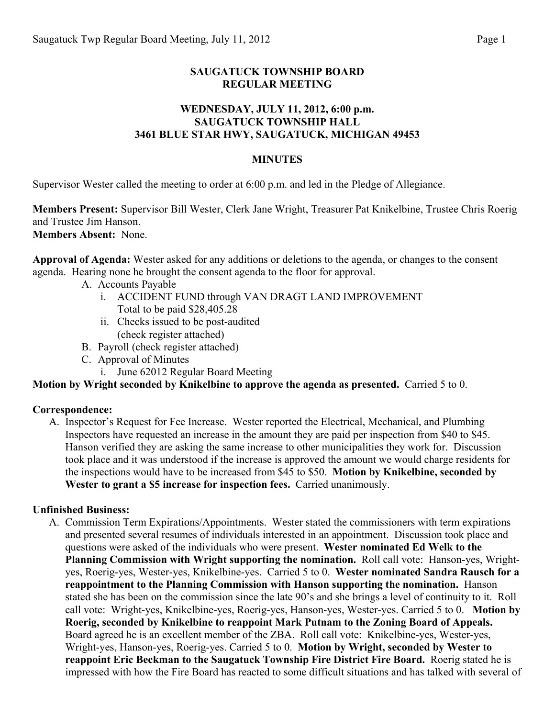## **SAUGATUCK TOWNSHIP BOARD REGULAR MEETING**

### **WEDNESDAY, JULY 11, 2012, 6:00 p.m. SAUGATUCK TOWNSHIP HALL 3461 BLUE STAR HWY, SAUGATUCK, MICHIGAN 49453**

#### **MINUTES**

Supervisor Wester called the meeting to order at 6:00 p.m. and led in the Pledge of Allegiance.

**Members Present:** Supervisor Bill Wester, Clerk Jane Wright, Treasurer Pat Knikelbine, Trustee Chris Roerig and Trustee Jim Hanson. **Members Absent:** None.

**Approval of Agenda:** Wester asked for any additions or deletions to the agenda, or changes to the consent agenda. Hearing none he brought the consent agenda to the floor for approval.

- A. Accounts Payable
	- i. ACCIDENT FUND through VAN DRAGT LAND IMPROVEMENT Total to be paid \$28,405.28
	- ii. Checks issued to be post-audited (check register attached)
- B. Payroll (check register attached)
- C. Approval of Minutes
	- i. June 62012 Regular Board Meeting

## **Motion by Wright seconded by Knikelbine to approve the agenda as presented.** Carried 5 to 0.

#### **Correspondence:**

A. Inspector's Request for Fee Increase. Wester reported the Electrical, Mechanical, and Plumbing Inspectors have requested an increase in the amount they are paid per inspection from \$40 to \$45. Hanson verified they are asking the same increase to other municipalities they work for. Discussion took place and it was understood if the increase is approved the amount we would charge residents for the inspections would have to be increased from \$45 to \$50. **Motion by Knikelbine, seconded by Wester to grant a \$5 increase for inspection fees.** Carried unanimously.

#### **Unfinished Business:**

A. Commission Term Expirations/Appointments. Wester stated the commissioners with term expirations and presented several resumes of individuals interested in an appointment. Discussion took place and questions were asked of the individuals who were present. **Wester nominated Ed Welk to the Planning Commission with Wright supporting the nomination.** Roll call vote: Hanson-yes, Wrightyes, Roerig-yes, Wester-yes, Knikelbine-yes. Carried 5 to 0. **Wester nominated Sandra Rausch for a reappointment to the Planning Commission with Hanson supporting the nomination.** Hanson stated she has been on the commission since the late 90's and she brings a level of continuity to it. Roll call vote: Wright-yes, Knikelbine-yes, Roerig-yes, Hanson-yes, Wester-yes. Carried 5 to 0. **Motion by Roerig, seconded by Knikelbine to reappoint Mark Putnam to the Zoning Board of Appeals.**  Board agreed he is an excellent member of the ZBA. Roll call vote: Knikelbine-yes, Wester-yes, Wright-yes, Hanson-yes, Roerig-yes. Carried 5 to 0. **Motion by Wright, seconded by Wester to reappoint Eric Beckman to the Saugatuck Township Fire District Fire Board.** Roerig stated he is impressed with how the Fire Board has reacted to some difficult situations and has talked with several of